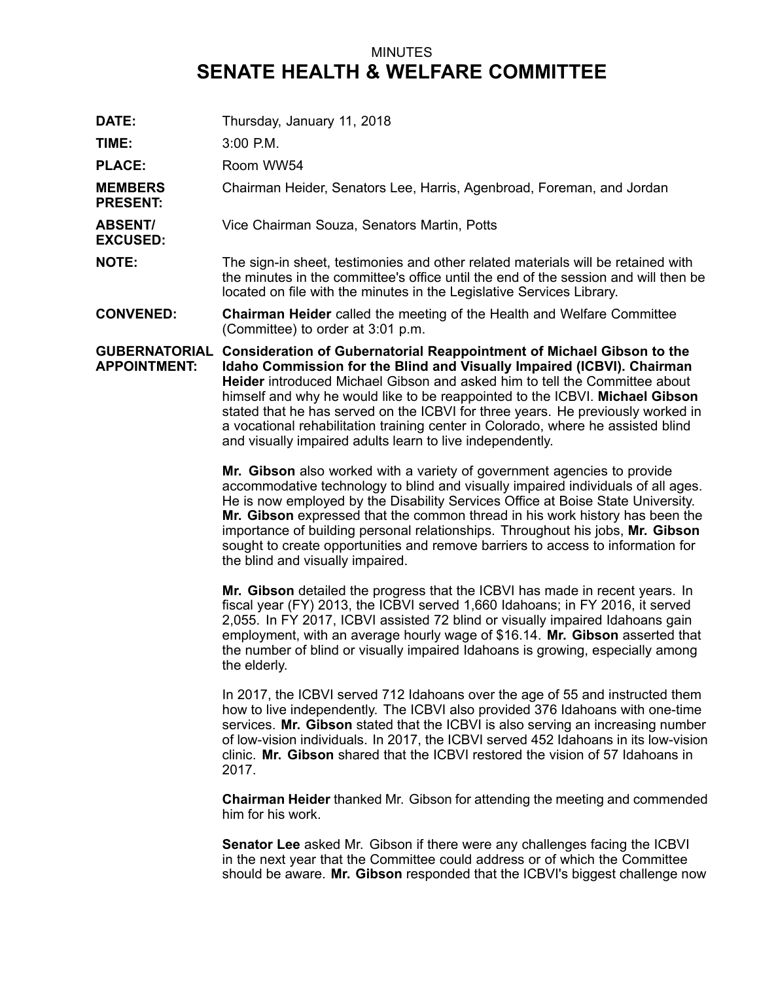## MINUTES **SENATE HEALTH & WELFARE COMMITTEE**

**DATE:** Thursday, January 11, 2018 **TIME:** 3:00 P.M. PLACE: Room WW54 **MEMBERS PRESENT:** Chairman Heider, Senators Lee, Harris, Agenbroad, Foreman, and Jordan **ABSENT/ EXCUSED:** Vice Chairman Souza, Senators Martin, Potts **NOTE:** The sign-in sheet, testimonies and other related materials will be retained with the minutes in the committee's office until the end of the session and will then be located on file with the minutes in the Legislative Services Library. **CONVENED: Chairman Heider** called the meeting of the Health and Welfare Committee (Committee) to order at 3:01 p.m. **GUBERNATORIAL Consideration of Gubernatorial Reappointment of Michael Gibson to the APPOINTMENT: Idaho Commission for the Blind and Visually Impaired (ICBVI). Chairman Heider** introduced Michael Gibson and asked him to tell the Committee about himself and why he would like to be reappointed to the ICBVI. **Michael Gibson** stated that he has served on the ICBVI for three years. He previously worked in <sup>a</sup> vocational rehabilitation training center in Colorado, where he assisted blind and visually impaired adults learn to live independently. **Mr. Gibson** also worked with <sup>a</sup> variety of government agencies to provide accommodative technology to blind and visually impaired individuals of all ages. He is now employed by the Disability Services Office at Boise State University. **Mr. Gibson** expressed that the common thread in his work history has been the importance of building personal relationships. Throughout his jobs, **Mr. Gibson** sought to create opportunities and remove barriers to access to information for the blind and visually impaired. **Mr. Gibson** detailed the progress that the ICBVI has made in recent years. In fiscal year (FY) 2013, the ICBVI served 1,660 Idahoans; in FY 2016, it served 2,055. In FY 2017, ICBVI assisted 72 blind or visually impaired Idahoans gain employment, with an average hourly wage of \$16.14. **Mr. Gibson** asserted that the number of blind or visually impaired Idahoans is growing, especially among the elderly. In 2017, the ICBVI served 712 Idahoans over the age of 55 and instructed them how to live independently. The ICBVI also provided 376 Idahoans with one-time services. **Mr. Gibson** stated that the ICBVI is also serving an increasing number of low-vision individuals. In 2017, the ICBVI served 452 Idahoans in its low-vision clinic. **Mr. Gibson** shared that the ICBVI restored the vision of 57 Idahoans in 2017. **Chairman Heider** thanked Mr. Gibson for attending the meeting and commended him for his work. **Senator Lee** asked Mr. Gibson if there were any challenges facing the ICBVI in the next year that the Committee could address or of which the Committee should be aware. **Mr. Gibson** responded that the ICBVI's biggest challenge now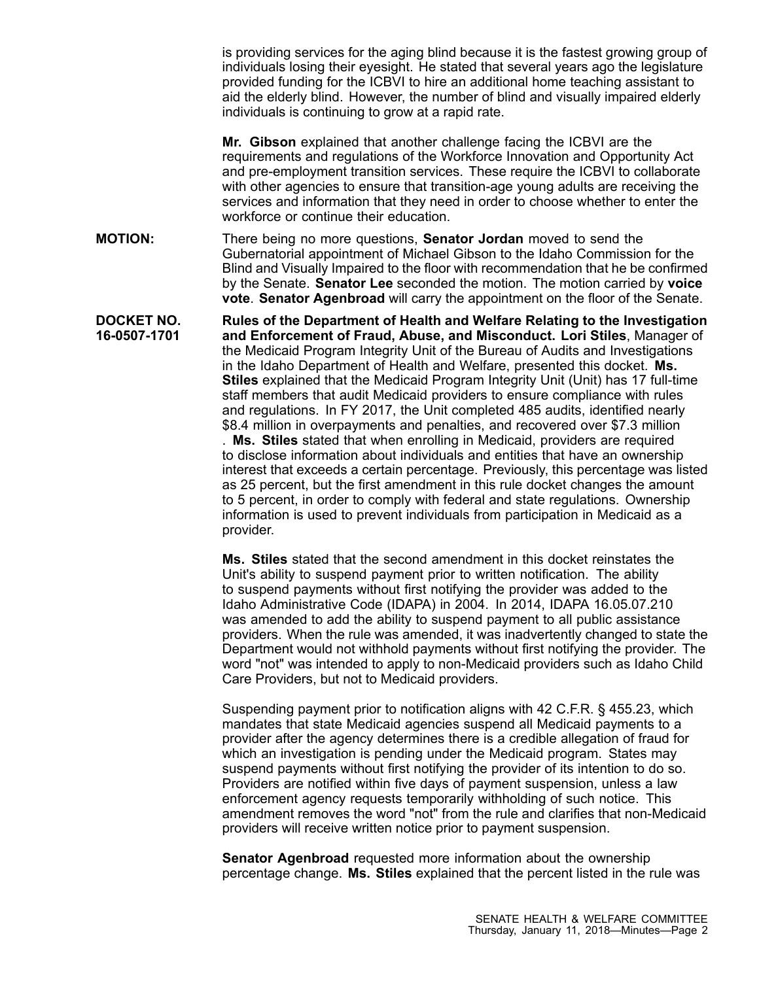is providing services for the aging blind because it is the fastest growing group of individuals losing their eyesight. He stated that several years ago the legislature provided funding for the ICBVI to hire an additional home teaching assistant to aid the elderly blind. However, the number of blind and visually impaired elderly individuals is continuing to grow at <sup>a</sup> rapid rate.

**Mr. Gibson** explained that another challenge facing the ICBVI are the requirements and regulations of the Workforce Innovation and Opportunity Act and pre-employment transition services. These require the ICBVI to collaborate with other agencies to ensure that transition-age young adults are receiving the services and information that they need in order to choose whether to enter the workforce or continue their education.

**MOTION:** There being no more questions, **Senator Jordan** moved to send the Gubernatorial appointment of Michael Gibson to the Idaho Commission for the Blind and Visually Impaired to the floor with recommendation that he be confirmed by the Senate. **Senator Lee** seconded the motion. The motion carried by **voice vote**. **Senator Agenbroad** will carry the appointment on the floor of the Senate.

**DOCKET NO. 16-0507-1701 Rules of the Department of Health and Welfare Relating to the Investigation and Enforcement of Fraud, Abuse, and Misconduct. Lori Stiles**, Manager of the Medicaid Program Integrity Unit of the Bureau of Audits and Investigations in the Idaho Department of Health and Welfare, presented this docket. **Ms. Stiles** explained that the Medicaid Program Integrity Unit (Unit) has 17 full-time staff members that audit Medicaid providers to ensure compliance with rules and regulations. In FY 2017, the Unit completed 485 audits, identified nearly \$8.4 million in overpayments and penalties, and recovered over \$7.3 million . **Ms. Stiles** stated that when enrolling in Medicaid, providers are required to disclose information about individuals and entities that have an ownership interest that exceeds <sup>a</sup> certain percentage. Previously, this percentage was listed as 25 percent, but the first amendment in this rule docket changes the amount to 5 percent, in order to comply with federal and state regulations. Ownership information is used to prevent individuals from participation in Medicaid as <sup>a</sup> provider.

> **Ms. Stiles** stated that the second amendment in this docket reinstates the Unit's ability to suspend payment prior to written notification. The ability to suspend payments without first notifying the provider was added to the Idaho Administrative Code (IDAPA) in 2004. In 2014, IDAPA 16.05.07.210 was amended to add the ability to suspend payment to all public assistance providers. When the rule was amended, it was inadvertently changed to state the Department would not withhold payments without first notifying the provider. The word "not" was intended to apply to non-Medicaid providers such as Idaho Child Care Providers, but not to Medicaid providers.

> Suspending payment prior to notification aligns with 42 C.F.R. § 455.23, which mandates that state Medicaid agencies suspend all Medicaid payments to <sup>a</sup> provider after the agency determines there is <sup>a</sup> credible allegation of fraud for which an investigation is pending under the Medicaid program. States may suspend payments without first notifying the provider of its intention to do so. Providers are notified within five days of payment suspension, unless <sup>a</sup> law enforcement agency requests temporarily withholding of such notice. This amendment removes the word "not" from the rule and clarifies that non-Medicaid providers will receive written notice prior to payment suspension.

**Senator Agenbroad** requested more information about the ownership percentage change. **Ms. Stiles** explained that the percent listed in the rule was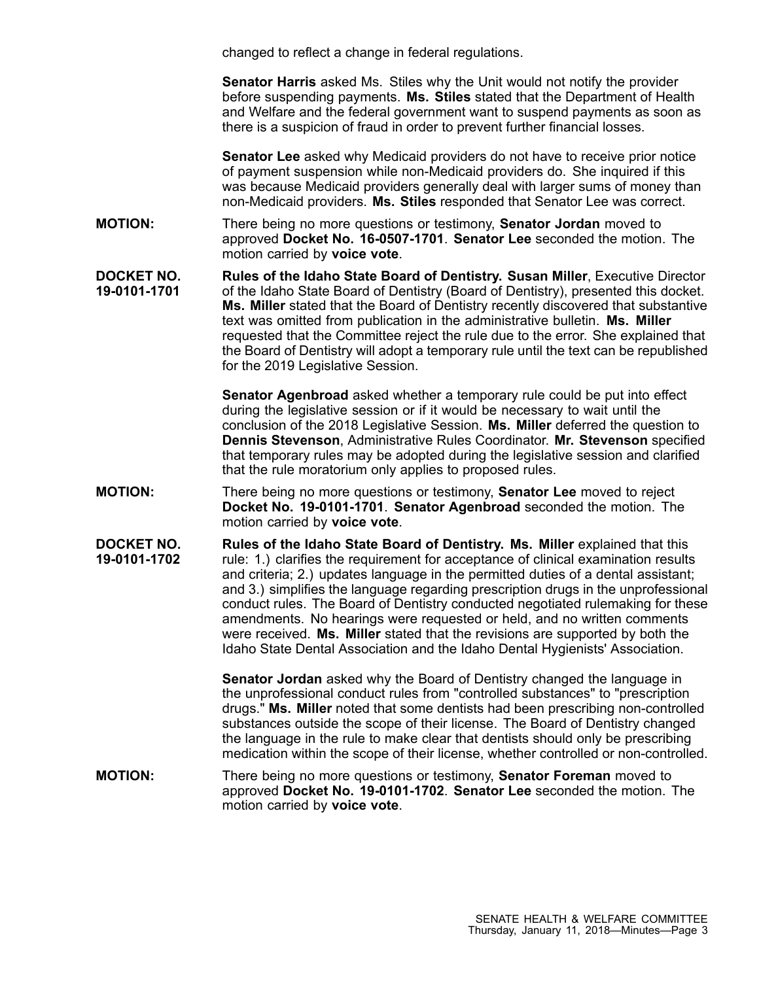changed to reflect <sup>a</sup> change in federal regulations.

**Senator Harris** asked Ms. Stiles why the Unit would not notify the provider before suspending payments. **Ms. Stiles** stated that the Department of Health and Welfare and the federal government want to suspend payments as soon as there is <sup>a</sup> suspicion of fraud in order to prevent further financial losses.

**Senator Lee** asked why Medicaid providers do not have to receive prior notice of payment suspension while non-Medicaid providers do. She inquired if this was because Medicaid providers generally deal with larger sums of money than non-Medicaid providers. **Ms. Stiles** responded that Senator Lee was correct.

**MOTION:** There being no more questions or testimony, **Senator Jordan** moved to approved **Docket No. 16-0507-1701**. **Senator Lee** seconded the motion. The motion carried by **voice vote**.

**DOCKET NO. 19-0101-1701 Rules of the Idaho State Board of Dentistry. Susan Miller**, Executive Director of the Idaho State Board of Dentistry (Board of Dentistry), presented this docket. **Ms. Miller** stated that the Board of Dentistry recently discovered that substantive text was omitted from publication in the administrative bulletin. **Ms. Miller** requested that the Committee reject the rule due to the error. She explained that the Board of Dentistry will adopt <sup>a</sup> temporary rule until the text can be republished for the 2019 Legislative Session.

> **Senator Agenbroad** asked whether <sup>a</sup> temporary rule could be put into effect during the legislative session or if it would be necessary to wait until the conclusion of the 2018 Legislative Session. **Ms. Miller** deferred the question to **Dennis Stevenson**, Administrative Rules Coordinator. **Mr. Stevenson** specified that temporary rules may be adopted during the legislative session and clarified that the rule moratorium only applies to proposed rules.

**MOTION:** There being no more questions or testimony, **Senator Lee** moved to reject **Docket No. 19-0101-1701**. **Senator Agenbroad** seconded the motion. The motion carried by **voice vote**.

**DOCKET NO. 19-0101-1702 Rules of the Idaho State Board of Dentistry. Ms. Miller** explained that this rule: 1.) clarifies the requirement for acceptance of clinical examination results and criteria; 2.) updates language in the permitted duties of <sup>a</sup> dental assistant; and 3.) simplifies the language regarding prescription drugs in the unprofessional conduct rules. The Board of Dentistry conducted negotiated rulemaking for these amendments. No hearings were requested or held, and no written comments were received. **Ms. Miller** stated that the revisions are supported by both the Idaho State Dental Association and the Idaho Dental Hygienists' Association.

> **Senator Jordan** asked why the Board of Dentistry changed the language in the unprofessional conduct rules from "controlled substances" to "prescription drugs." **Ms. Miller** noted that some dentists had been prescribing non-controlled substances outside the scope of their license. The Board of Dentistry changed the language in the rule to make clear that dentists should only be prescribing medication within the scope of their license, whether controlled or non-controlled.

**MOTION:** There being no more questions or testimony, **Senator Foreman** moved to approved **Docket No. 19-0101-1702**. **Senator Lee** seconded the motion. The motion carried by **voice vote**.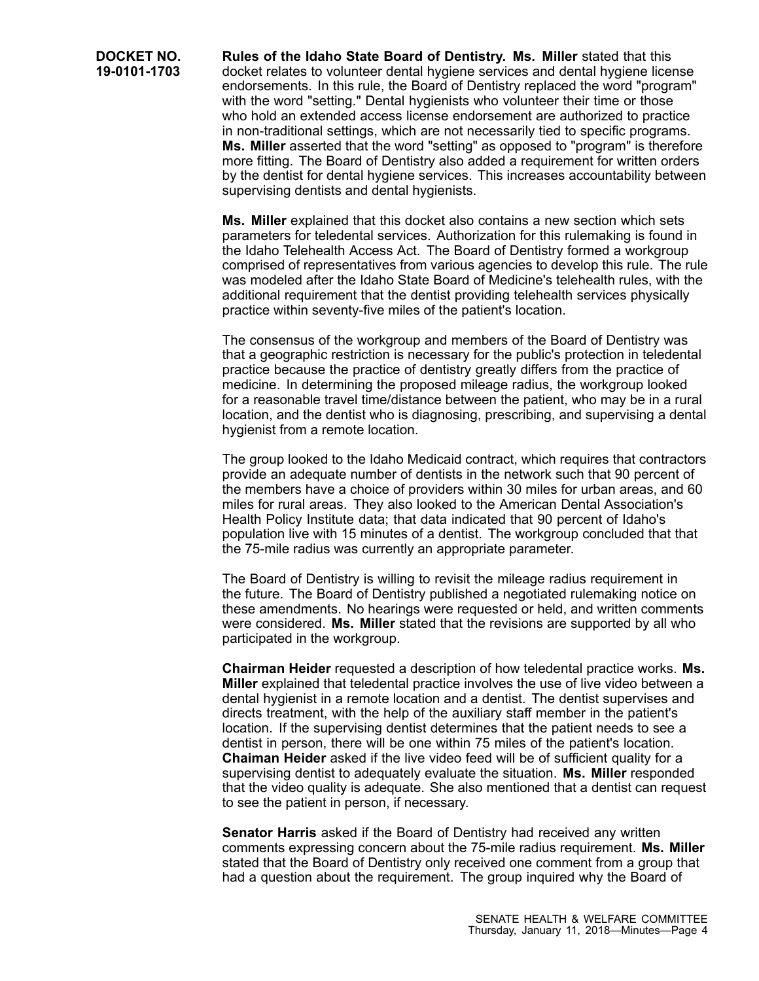**Rules of the Idaho State Board of Dentistry. Ms. Miller** stated that this docket relates to volunteer dental hygiene services and dental hygiene license endorsements. In this rule, the Board of Dentistry replaced the word "program" with the word "setting." Dental hygienists who volunteer their time or those who hold an extended access license endorsement are authorized to practice in non-traditional settings, which are not necessarily tied to specific programs. **Ms. Miller** asserted that the word "setting" as opposed to "program" is therefore more fitting. The Board of Dentistry also added <sup>a</sup> requirement for written orders by the dentist for dental hygiene services. This increases accountability between supervising dentists and dental hygienists.

**Ms. Miller** explained that this docket also contains <sup>a</sup> new section which sets parameters for teledental services. Authorization for this rulemaking is found in the Idaho Telehealth Access Act. The Board of Dentistry formed <sup>a</sup> workgroup comprised of representatives from various agencies to develop this rule. The rule was modeled after the Idaho State Board of Medicine's telehealth rules, with the additional requirement that the dentist providing telehealth services physically practice within seventy-five miles of the patient's location.

The consensus of the workgroup and members of the Board of Dentistry was that <sup>a</sup> geographic restriction is necessary for the public's protection in teledental practice because the practice of dentistry greatly differs from the practice of medicine. In determining the proposed mileage radius, the workgroup looked for <sup>a</sup> reasonable travel time/distance between the patient, who may be in <sup>a</sup> rural location, and the dentist who is diagnosing, prescribing, and supervising <sup>a</sup> dental hygienist from <sup>a</sup> remote location.

The group looked to the Idaho Medicaid contract, which requires that contractors provide an adequate number of dentists in the network such that 90 percent of the members have <sup>a</sup> choice of providers within 30 miles for urban areas, and 60 miles for rural areas. They also looked to the American Dental Association's Health Policy Institute data; that data indicated that 90 percent of Idaho's population live with 15 minutes of <sup>a</sup> dentist. The workgroup concluded that that the 75-mile radius was currently an appropriate parameter.

The Board of Dentistry is willing to revisit the mileage radius requirement in the future. The Board of Dentistry published <sup>a</sup> negotiated rulemaking notice on these amendments. No hearings were requested or held, and written comments were considered. **Ms. Miller** stated that the revisions are supported by all who participated in the workgroup.

**Chairman Heider** requested <sup>a</sup> description of how teledental practice works. **Ms. Miller** explained that teledental practice involves the use of live video between <sup>a</sup> dental hygienist in <sup>a</sup> remote location and <sup>a</sup> dentist. The dentist supervises and directs treatment, with the help of the auxiliary staff member in the patient's location. If the supervising dentist determines that the patient needs to see <sup>a</sup> dentist in person, there will be one within 75 miles of the patient's location. **Chaiman Heider** asked if the live video feed will be of sufficient quality for <sup>a</sup> supervising dentist to adequately evaluate the situation. **Ms. Miller** responded that the video quality is adequate. She also mentioned that <sup>a</sup> dentist can request to see the patient in person, if necessary.

**Senator Harris** asked if the Board of Dentistry had received any written comments expressing concern about the 75-mile radius requirement. **Ms. Miller** stated that the Board of Dentistry only received one comment from <sup>a</sup> group that had <sup>a</sup> question about the requirement. The group inquired why the Board of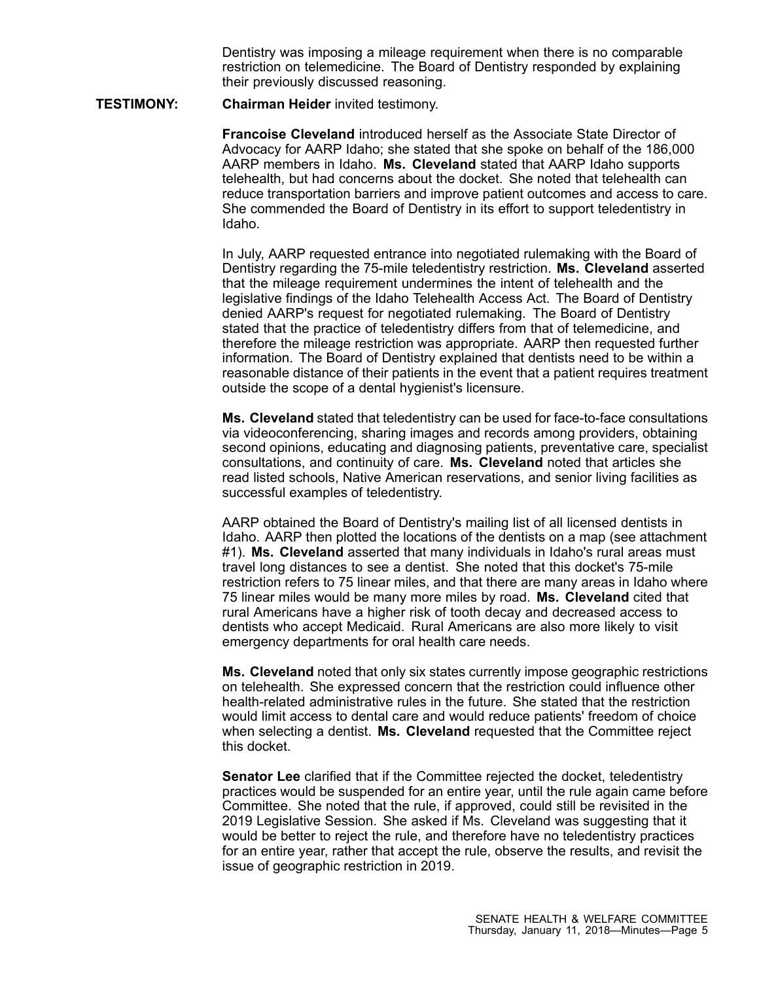Dentistry was imposing <sup>a</sup> mileage requirement when there is no comparable restriction on telemedicine. The Board of Dentistry responded by explaining their previously discussed reasoning.

## **TESTIMONY: Chairman Heider** invited testimony.

**Francoise Cleveland** introduced herself as the Associate State Director of Advocacy for AARP Idaho; she stated that she spoke on behalf of the 186,000 AARP members in Idaho. **Ms. Cleveland** stated that AARP Idaho supports telehealth, but had concerns about the docket. She noted that telehealth can reduce transportation barriers and improve patient outcomes and access to care. She commended the Board of Dentistry in its effort to support teledentistry in Idaho.

In July, AARP requested entrance into negotiated rulemaking with the Board of Dentistry regarding the 75-mile teledentistry restriction. **Ms. Cleveland** asserted that the mileage requirement undermines the intent of telehealth and the legislative findings of the Idaho Telehealth Access Act. The Board of Dentistry denied AARP's request for negotiated rulemaking. The Board of Dentistry stated that the practice of teledentistry differs from that of telemedicine, and therefore the mileage restriction was appropriate. AARP then requested further information. The Board of Dentistry explained that dentists need to be within <sup>a</sup> reasonable distance of their patients in the event that <sup>a</sup> patient requires treatment outside the scope of <sup>a</sup> dental hygienist's licensure.

**Ms. Cleveland** stated that teledentistry can be used for face-to-face consultations via videoconferencing, sharing images and records among providers, obtaining second opinions, educating and diagnosing patients, preventative care, specialist consultations, and continuity of care. **Ms. Cleveland** noted that articles she read listed schools, Native American reservations, and senior living facilities as successful examples of teledentistry.

AARP obtained the Board of Dentistry's mailing list of all licensed dentists in Idaho. AARP then plotted the locations of the dentists on <sup>a</sup> map (see attachment #1). **Ms. Cleveland** asserted that many individuals in Idaho's rural areas must travel long distances to see <sup>a</sup> dentist. She noted that this docket's 75-mile restriction refers to 75 linear miles, and that there are many areas in Idaho where 75 linear miles would be many more miles by road. **Ms. Cleveland** cited that rural Americans have <sup>a</sup> higher risk of tooth decay and decreased access to dentists who accept Medicaid. Rural Americans are also more likely to visit emergency departments for oral health care needs.

**Ms. Cleveland** noted that only six states currently impose geographic restrictions on telehealth. She expressed concern that the restriction could influence other health-related administrative rules in the future. She stated that the restriction would limit access to dental care and would reduce patients' freedom of choice when selecting <sup>a</sup> dentist. **Ms. Cleveland** requested that the Committee reject this docket.

**Senator Lee** clarified that if the Committee rejected the docket, teledentistry practices would be suspended for an entire year, until the rule again came before Committee. She noted that the rule, if approved, could still be revisited in the 2019 Legislative Session. She asked if Ms. Cleveland was suggesting that it would be better to reject the rule, and therefore have no teledentistry practices for an entire year, rather that accept the rule, observe the results, and revisit the issue of geographic restriction in 2019.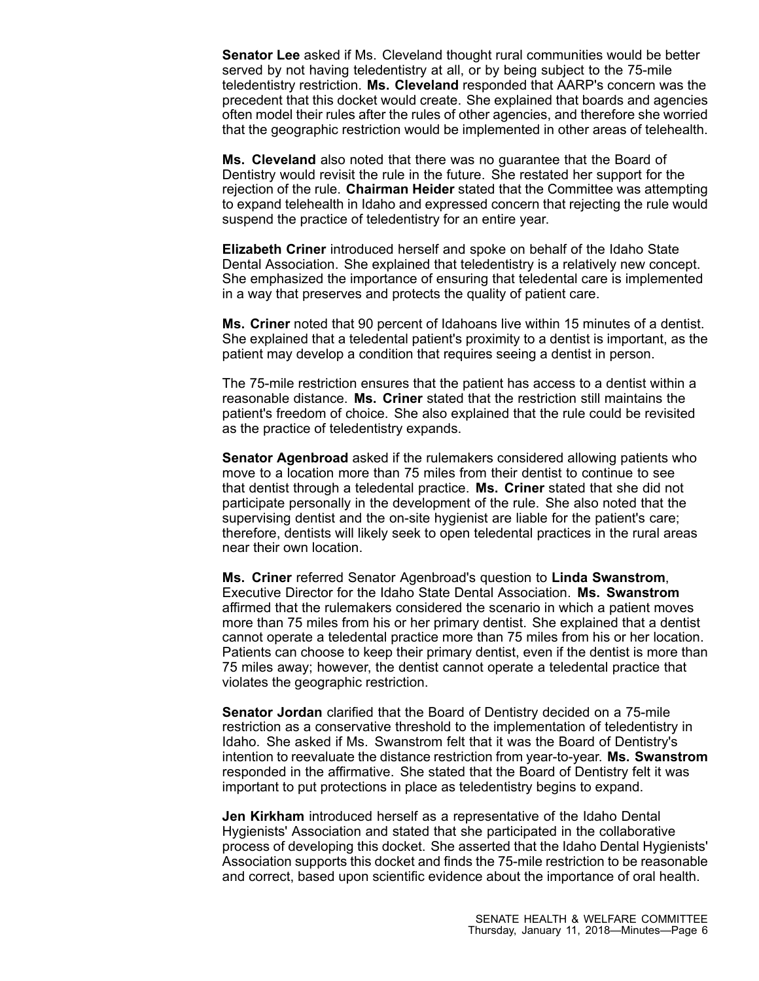**Senator Lee** asked if Ms. Cleveland thought rural communities would be better served by not having teledentistry at all, or by being subject to the 75-mile teledentistry restriction. **Ms. Cleveland** responded that AARP's concern was the precedent that this docket would create. She explained that boards and agencies often model their rules after the rules of other agencies, and therefore she worried that the geographic restriction would be implemented in other areas of telehealth.

**Ms. Cleveland** also noted that there was no guarantee that the Board of Dentistry would revisit the rule in the future. She restated her support for the rejection of the rule. **Chairman Heider** stated that the Committee was attempting to expand telehealth in Idaho and expressed concern that rejecting the rule would suspend the practice of teledentistry for an entire year.

**Elizabeth Criner** introduced herself and spoke on behalf of the Idaho State Dental Association. She explained that teledentistry is <sup>a</sup> relatively new concept. She emphasized the importance of ensuring that teledental care is implemented in <sup>a</sup> way that preserves and protects the quality of patient care.

**Ms. Criner** noted that 90 percent of Idahoans live within 15 minutes of <sup>a</sup> dentist. She explained that <sup>a</sup> teledental patient's proximity to <sup>a</sup> dentist is important, as the patient may develop <sup>a</sup> condition that requires seeing <sup>a</sup> dentist in person.

The 75-mile restriction ensures that the patient has access to <sup>a</sup> dentist within <sup>a</sup> reasonable distance. **Ms. Criner** stated that the restriction still maintains the patient's freedom of choice. She also explained that the rule could be revisited as the practice of teledentistry expands.

**Senator Agenbroad** asked if the rulemakers considered allowing patients who move to a location more than 75 miles from their dentist to continue to see that dentist through <sup>a</sup> teledental practice. **Ms. Criner** stated that she did not participate personally in the development of the rule. She also noted that the supervising dentist and the on-site hygienist are liable for the patient's care; therefore, dentists will likely seek to open teledental practices in the rural areas near their own location.

**Ms. Criner** referred Senator Agenbroad's question to **Linda Swanstrom**, Executive Director for the Idaho State Dental Association. **Ms. Swanstrom** affirmed that the rulemakers considered the scenario in which <sup>a</sup> patient moves more than 75 miles from his or her primary dentist. She explained that <sup>a</sup> dentist cannot operate <sup>a</sup> teledental practice more than 75 miles from his or her location. Patients can choose to keep their primary dentist, even if the dentist is more than 75 miles away; however, the dentist cannot operate <sup>a</sup> teledental practice that violates the geographic restriction.

**Senator Jordan** clarified that the Board of Dentistry decided on <sup>a</sup> 75-mile restriction as <sup>a</sup> conservative threshold to the implementation of teledentistry in Idaho. She asked if Ms. Swanstrom felt that it was the Board of Dentistry's intention to reevaluate the distance restriction from year-to-year. **Ms. Swanstrom** responded in the affirmative. She stated that the Board of Dentistry felt it was important to put protections in place as teledentistry begins to expand.

**Jen Kirkham** introduced herself as <sup>a</sup> representative of the Idaho Dental Hygienists' Association and stated that she participated in the collaborative process of developing this docket. She asserted that the Idaho Dental Hygienists' Association supports this docket and finds the 75-mile restriction to be reasonable and correct, based upon scientific evidence about the importance of oral health.